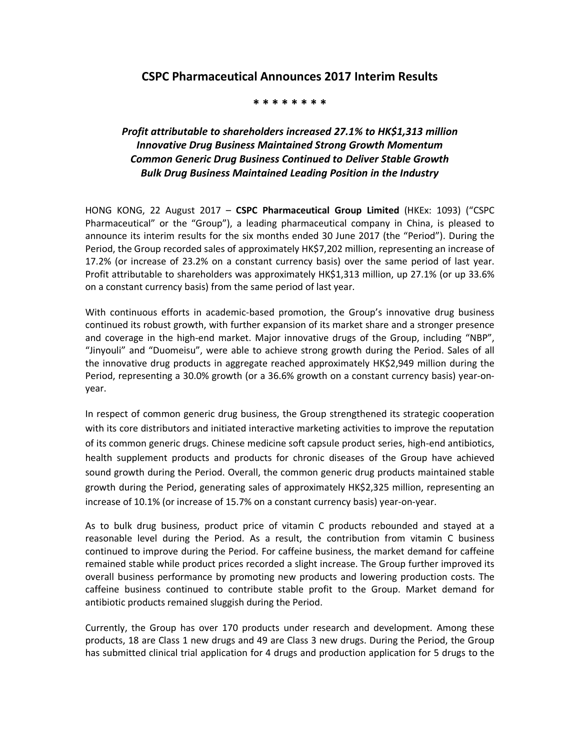## **CSPC Pharmaceutical Announces 2017 Interim Results**

## **\* \* \* \* \* \* \* \***

## *Profit attributable to shareholders increased 27.1% to HK\$1,313 million Innovative Drug Business Maintained Strong Growth Momentum Common Generic Drug Business Continued to Deliver Stable Growth Bulk Drug Business Maintained Leading Position in the Industry*

HONG KONG, 22 August 2017 – **CSPC Pharmaceutical Group Limited** (HKEx: 1093) ("CSPC Pharmaceutical" or the "Group"), a leading pharmaceutical company in China, is pleased to announce its interim results for the six months ended 30 June 2017 (the "Period"). During the Period, the Group recorded sales of approximately HK\$7,202 million, representing an increase of 17.2% (or increase of 23.2% on a constant currency basis) over the same period of last year. Profit attributable to shareholders was approximately HK\$1,313 million, up 27.1% (or up 33.6% on a constant currency basis) from the same period of last year.

With continuous efforts in academic-based promotion, the Group's innovative drug business continued its robust growth, with further expansion of its market share and a stronger presence and coverage in the high-end market. Major innovative drugs of the Group, including "NBP", "Jinyouli" and "Duomeisu", were able to achieve strong growth during the Period. Sales of all the innovative drug products in aggregate reached approximately HK\$2,949 million during the Period, representing a 30.0% growth (or a 36.6% growth on a constant currency basis) year-onyear.

In respect of common generic drug business, the Group strengthened its strategic cooperation with its core distributors and initiated interactive marketing activities to improve the reputation of its common generic drugs. Chinese medicine soft capsule product series, high-end antibiotics, health supplement products and products for chronic diseases of the Group have achieved sound growth during the Period. Overall, the common generic drug products maintained stable growth during the Period, generating sales of approximately HK\$2,325 million, representing an increase of 10.1% (or increase of 15.7% on a constant currency basis) year-on-year.

As to bulk drug business, product price of vitamin C products rebounded and stayed at a reasonable level during the Period. As a result, the contribution from vitamin C business continued to improve during the Period. For caffeine business, the market demand for caffeine remained stable while product prices recorded a slight increase. The Group further improved its overall business performance by promoting new products and lowering production costs. The caffeine business continued to contribute stable profit to the Group. Market demand for antibiotic products remained sluggish during the Period.

Currently, the Group has over 170 products under research and development. Among these products, 18 are Class 1 new drugs and 49 are Class 3 new drugs. During the Period, the Group has submitted clinical trial application for 4 drugs and production application for 5 drugs to the